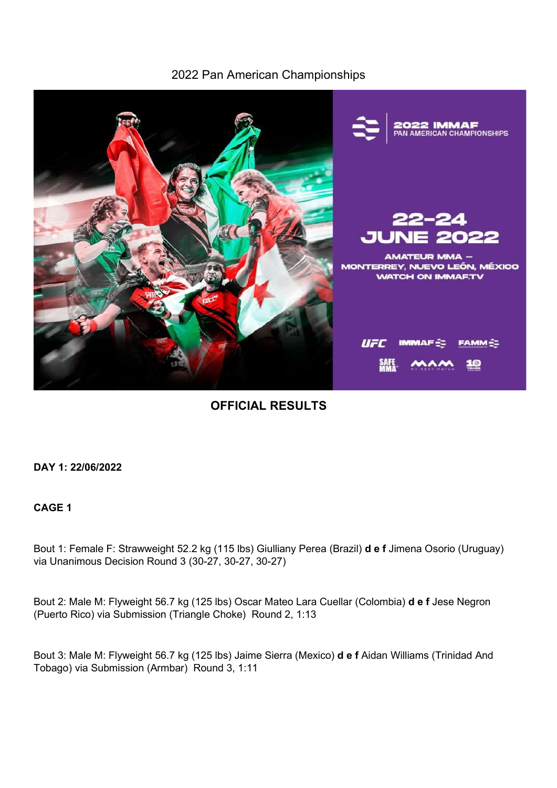## 2022 Pan American Championships



OFFICIAL RESULTS

DAY 1: 22/06/2022

## CAGE 1

Bout 1: Female F: Strawweight 52.2 kg (115 lbs) Giulliany Perea (Brazil) **d e f** Jimena Osorio (Uruguay) via Unanimous Decision Round 3 (30-27, 30-27, 30-27)

Bout 2: Male M: Flyweight 56.7 kg (125 lbs) Oscar Mateo Lara Cuellar (Colombia) d e f Jese Negron (Puerto Rico) via Submission (Triangle Choke) Round 2, 1:13

Bout 3: Male M: Flyweight 56.7 kg (125 lbs) Jaime Sierra (Mexico) d e f Aidan Williams (Trinidad And Tobago) via Submission (Armbar) Round 3, 1:11